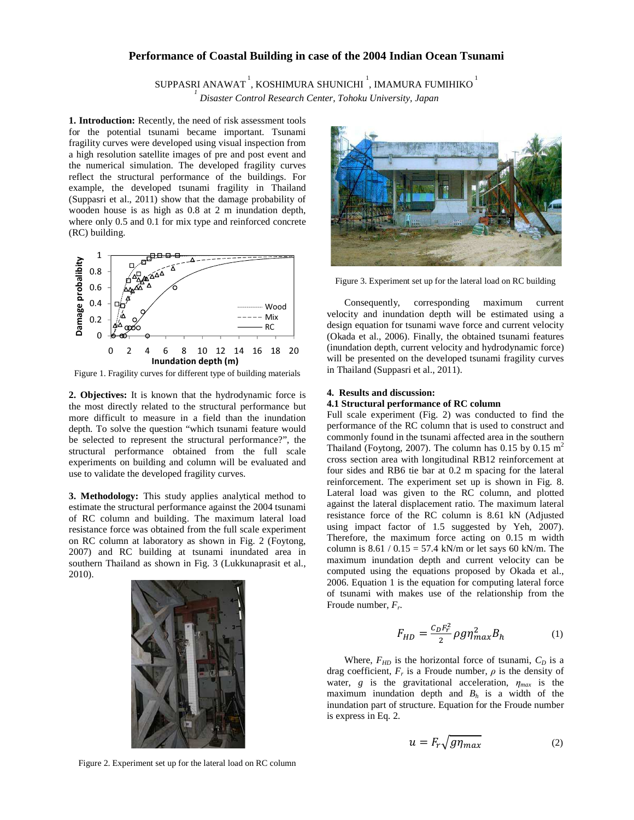# **Performance of Coastal Building in case of the 2004 Indian Ocean Tsunami**

SUPPASRI ANAWAT $^{\rm 1}$ , KOSHIMURA SHUNICHI  $^{\rm 1}$ , IMAMURA FUMIHIKO  $^{\rm 1}$ *1*

 *Disaster Control Research Center, Tohoku University, Japan* 

**1. Introduction:** Recently, the need of risk assessment tools for the potential tsunami became important. Tsunami fragility curves were developed using visual inspection from a high resolution satellite images of pre and post event and the numerical simulation. The developed fragility curves reflect the structural performance of the buildings. For example, the developed tsunami fragility in Thailand (Suppasri et al., 2011) show that the damage probability of wooden house is as high as 0.8 at 2 m inundation depth, where only 0.5 and 0.1 for mix type and reinforced concrete (RC) building.



Figure 1. Fragility curves for different type of building materials

**2. Objectives:** It is known that the hydrodynamic force is the most directly related to the structural performance but more difficult to measure in a field than the inundation depth. To solve the question "which tsunami feature would be selected to represent the structural performance?", the structural performance obtained from the full scale experiments on building and column will be evaluated and use to validate the developed fragility curves.

**3. Methodology:** This study applies analytical method to estimate the structural performance against the 2004 tsunami of RC column and building. The maximum lateral load resistance force was obtained from the full scale experiment on RC column at laboratory as shown in Fig. 2 (Foytong, 2007) and RC building at tsunami inundated area in southern Thailand as shown in Fig. 3 (Lukkunaprasit et al., 2010).





Figure 3. Experiment set up for the lateral load on RC building

Consequently, corresponding maximum current velocity and inundation depth will be estimated using a design equation for tsunami wave force and current velocity (Okada et al., 2006). Finally, the obtained tsunami features (inundation depth, current velocity and hydrodynamic force) will be presented on the developed tsunami fragility curves in Thailand (Suppasri et al., 2011).

## **4. Results and discussion:**

# **4.1 Structural performance of RC column**

Full scale experiment (Fig. 2) was conducted to find the performance of the RC column that is used to construct and commonly found in the tsunami affected area in the southern Thailand (Foytong, 2007). The column has 0.15 by 0.15  $m<sup>2</sup>$ cross section area with longitudinal RB12 reinforcement at four sides and RB6 tie bar at 0.2 m spacing for the lateral reinforcement. The experiment set up is shown in Fig. 8. Lateral load was given to the RC column, and plotted against the lateral displacement ratio. The maximum lateral resistance force of the RC column is 8.61 kN (Adjusted using impact factor of 1.5 suggested by Yeh, 2007). Therefore, the maximum force acting on 0.15 m width column is  $8.61 / 0.15 = 57.4$  kN/m or let says 60 kN/m. The maximum inundation depth and current velocity can be computed using the equations proposed by Okada et al., 2006. Equation 1 is the equation for computing lateral force of tsunami with makes use of the relationship from the Froude number, *F<sup>r</sup>* .

$$
F_{HD} = \frac{c_D F_r^2}{2} \rho g \eta_{max}^2 B_h \tag{1}
$$

Where,  $F_{HD}$  is the horizontal force of tsunami,  $C_D$  is a drag coefficient,  $F_r$  is a Froude number,  $\rho$  is the density of water, *g* is the gravitational acceleration,  $\eta_{max}$  is the maximum inundation depth and  $B_h$  is a width of the inundation part of structure. Equation for the Froude number is express in Eq. 2.

$$
u = F_r \sqrt{g \eta_{max}} \tag{2}
$$

Figure 2. Experiment set up for the lateral load on RC column